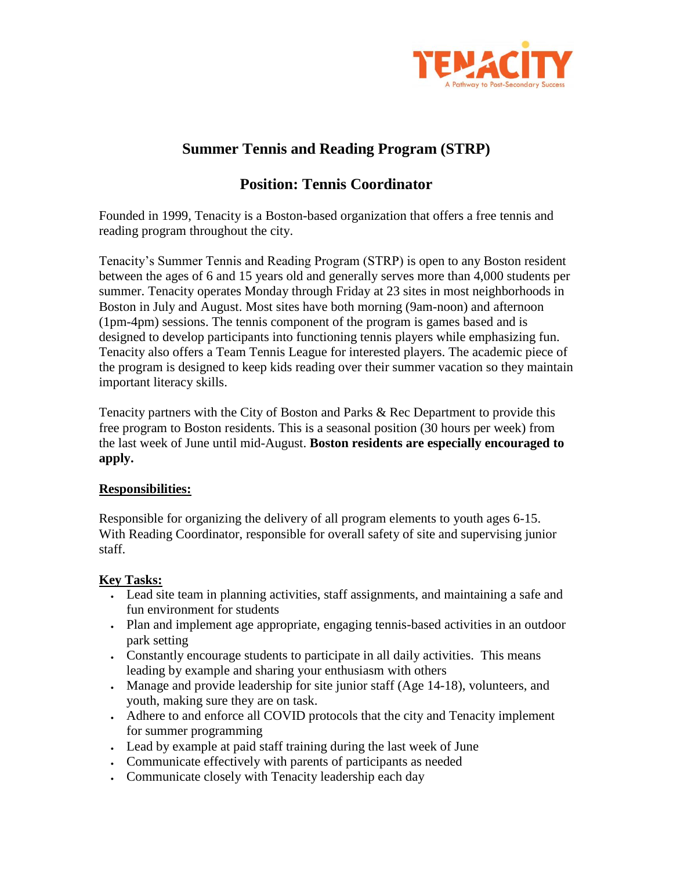

# **Summer Tennis and Reading Program (STRP)**

## **Position: Tennis Coordinator**

Founded in 1999, Tenacity is a Boston-based organization that offers a free tennis and reading program throughout the city.

Tenacity's Summer Tennis and Reading Program (STRP) is open to any Boston resident between the ages of 6 and 15 years old and generally serves more than 4,000 students per summer. Tenacity operates Monday through Friday at 23 sites in most neighborhoods in Boston in July and August. Most sites have both morning (9am-noon) and afternoon (1pm-4pm) sessions. The tennis component of the program is games based and is designed to develop participants into functioning tennis players while emphasizing fun. Tenacity also offers a Team Tennis League for interested players. The academic piece of the program is designed to keep kids reading over their summer vacation so they maintain important literacy skills.

Tenacity partners with the City of Boston and Parks & Rec Department to provide this free program to Boston residents. This is a seasonal position (30 hours per week) from the last week of June until mid-August. **Boston residents are especially encouraged to apply.**

### **Responsibilities:**

Responsible for organizing the delivery of all program elements to youth ages 6-15. With Reading Coordinator, responsible for overall safety of site and supervising junior staff.

### **Key Tasks:**

- Lead site team in planning activities, staff assignments, and maintaining a safe and fun environment for students
- Plan and implement age appropriate, engaging tennis-based activities in an outdoor park setting
- Constantly encourage students to participate in all daily activities. This means leading by example and sharing your enthusiasm with others
- Manage and provide leadership for site junior staff (Age 14-18), volunteers, and youth, making sure they are on task.
- Adhere to and enforce all COVID protocols that the city and Tenacity implement for summer programming
- Lead by example at paid staff training during the last week of June
- Communicate effectively with parents of participants as needed
- Communicate closely with Tenacity leadership each day